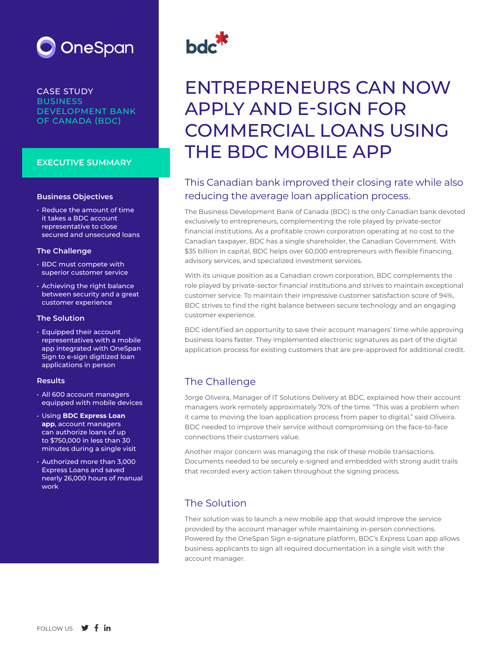

CASE STUDY **BUSINESS** DEVELOPMENT BANK OF CANADA (BDC)

#### **EXECUTIVE SUMMARY**

#### **Business Objectives**

• Reduce the amount of time it takes a BDC account representative to close secured and unsecured loans

#### **The Challenge**

- BDC must compete with superior customer service
- Achieving the right balance between security and a great customer experience

#### **The Solution**

• Equipped their account representatives with a mobile app integrated with OneSpan Sign to e-sign digitized loan applications in person

#### **Results**

- All 600 account managers equipped with mobile devices
- Using **BDC Express Loan app**, account managers can authorize loans of up to \$750,000 in less than 30 minutes during a single visit
- Authorized more than 3,000 Express Loans and saved nearly 26,000 hours of manual work



# ENTREPRENEURS CAN NOW APPLY AND E-SIGN FOR COMMERCIAL LOANS USING THE BDC MOBILE APP

## This Canadian bank improved their closing rate while also reducing the average loan application process.

The Business Development Bank of Canada (BDC) is the only Canadian bank devoted exclusively to entrepreneurs, complementing the role played by private-sector financial institutions. As a profitable crown corporation operating at no cost to the Canadian taxpayer, BDC has a single shareholder, the Canadian Government. With \$35 billion in capital, BDC helps over 60,000 entrepreneurs with flexible financing, advisory services, and specialized investment services.

With its unique position as a Canadian crown corporation, BDC complements the role played by private-sector financial institutions and strives to maintain exceptional customer service. To maintain their impressive customer satisfaction score of 94%, BDC strives to find the right balance between secure technology and an engaging customer experience.

BDC identified an opportunity to save their account managers' time while approving business loans faster. They implemented electronic signatures as part of the digital application process for existing customers that are pre-approved for additional credit.

## The Challenge

Jorge Oliveira, Manager of IT Solutions Delivery at BDC, explained how their account managers work remotely approximately 70% of the time. "This was a problem when it came to moving the loan application process from paper to digital," said Oliveira. BDC needed to improve their service without compromising on the face-to-face connections their customers value.

Another major concern was managing the risk of these mobile transactions. Documents needed to be securely e-signed and embedded with strong audit trails that recorded every action taken throughout the signing process.

## The Solution

Their solution was to launch a new mobile app that would improve the service provided by the account manager while maintaining in-person connections. Powered by the OneSpan Sign e-signature platform, BDC's Express Loan app allows business applicants to sign all required documentation in a single visit with the account manager.